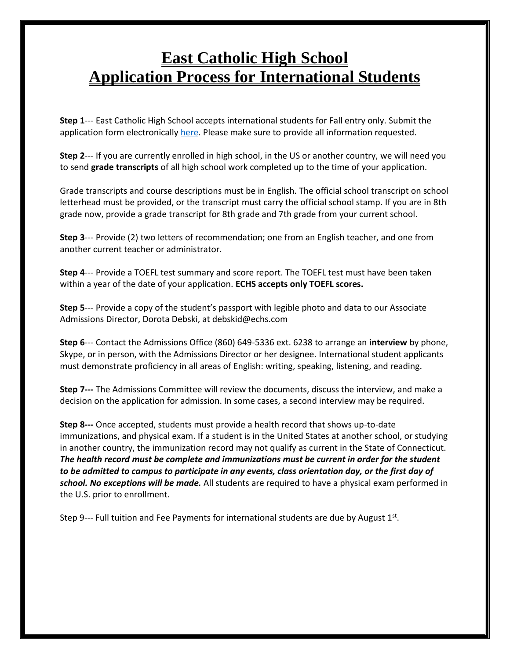## **East Catholic High School Application Process for International Students**

**Step 1**--- East Catholic High School accepts international students for Fall entry only. Submit the application form electronically [here.](https://appro.rediker.com/apwebonlinereg/index.aspx?schoolid=E71776A896A948F5842AFF8E85BDA75B) Please make sure to provide all information requested.

**Step 2**--- If you are currently enrolled in high school, in the US or another country, we will need you to send **grade transcripts** of all high school work completed up to the time of your application.

Grade transcripts and course descriptions must be in English. The official school transcript on school letterhead must be provided, or the transcript must carry the official school stamp. If you are in 8th grade now, provide a grade transcript for 8th grade and 7th grade from your current school.

**Step 3**--- Provide (2) two letters of recommendation; one from an English teacher, and one from another current teacher or administrator.

**Step 4**--- Provide a TOEFL test summary and score report. The TOEFL test must have been taken within a year of the date of your application. **ECHS accepts only TOEFL scores.**

**Step 5**--- Provide a copy of the student's passport with legible photo and data to our Associate Admissions Director, Dorota Debski, at debskid@echs.com

**Step 6**--- Contact the Admissions Office (860) 649-5336 ext. 6238 to arrange an **interview** by phone, Skype, or in person, with the Admissions Director or her designee. International student applicants must demonstrate proficiency in all areas of English: writing, speaking, listening, and reading.

**Step 7---** The Admissions Committee will review the documents, discuss the interview, and make a decision on the application for admission. In some cases, a second interview may be required.

**Step 8---** Once accepted, students must provide a health record that shows up-to-date immunizations, and physical exam. If a student is in the United States at another school, or studying in another country, the immunization record may not qualify as current in the State of Connecticut. *The health record must be complete and immunizations must be current in order for the student to be admitted to campus to participate in any events, class orientation day, or the first day of school. No exceptions will be made.* All students are required to have a physical exam performed in the U.S. prior to enrollment.

Step 9--- Full tuition and Fee Payments for international students are due by August  $1<sup>st</sup>$ .